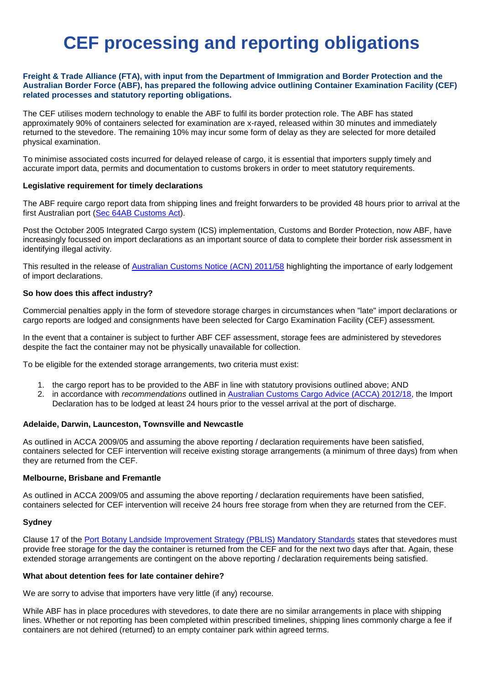# **CEF processing and reporting obligations**

## **Freight & Trade Alliance (FTA), with input from the Department of Immigration and Border Protection and the Australian Border Force (ABF), has prepared the following advice outlining Container Examination Facility (CEF) related processes and statutory reporting obligations.**

The CEF utilises modern technology to enable the ABF to fulfil its border protection role. The ABF has stated approximately 90% of containers selected for examination are x-rayed, released within 30 minutes and immediately returned to the stevedore. The remaining 10% may incur some form of delay as they are selected for more detailed physical examination.

To minimise associated costs incurred for delayed release of cargo, it is essential that importers supply timely and accurate import data, permits and documentation to customs brokers in order to meet statutory requirements.

### **Legislative requirement for timely declarations**

The ABF require cargo report data from shipping lines and freight forwarders to be provided 48 hours prior to arrival at the first Australian port [\(Sec 64AB Customs Act\)](http://www.austlii.edu.au/au/legis/cth/consol_act/ca1901124/s64ab.html).

Post the October 2005 Integrated Cargo system (ICS) implementation, Customs and Border Protection, now ABF, have increasingly focussed on import declarations as an important source of data to complete their border risk assessment in identifying illegal activity.

This resulted in the release of [Australian Customs Notice \(ACN\) 2011/58](https://www.border.gov.au/Customsnotices/Documents/acn2011_58-revised5dec2011.pdf) highlighting the importance of early lodgement of import declarations.

## **So how does this affect industry?**

Commercial penalties apply in the form of stevedore storage charges in circumstances when "late" import declarations or cargo reports are lodged and consignments have been selected for Cargo Examination Facility (CEF) assessment.

In the event that a container is subject to further ABF CEF assessment, storage fees are administered by stevedores despite the fact the container may not be physically unavailable for collection.

To be eligible for the extended storage arrangements, two criteria must exist:

- 1. the cargo report has to be provided to the ABF in line with statutory provisions outlined above; AND
- 2. in accordance with *recommendations* outlined in [Australian Customs Cargo Advice \(ACCA\) 2012/18,](https://www.border.gov.au/Cargosupport/Documents/acca2012_18.pdf) the Import Declaration has to be lodged at least 24 hours prior to the vessel arrival at the port of discharge.

# **Adelaide, Darwin, Launceston, Townsville and Newcastle**

As outlined in ACCA 2009/05 and assuming the above reporting / declaration requirements have been satisfied, containers selected for CEF intervention will receive existing storage arrangements (a minimum of three days) from when they are returned from the CEF.

# **Melbourne, Brisbane and Fremantle**

As outlined in ACCA 2009/05 and assuming the above reporting / declaration requirements have been satisfied, containers selected for CEF intervention will receive 24 hours free storage from when they are returned from the CEF.

# **Sydney**

Clause 17 of the [Port Botany Landside Improvement Strategy \(PBLIS\) Mandatory Standards](https://www.transport.nsw.gov.au/sites/default/files/media/documents/2017/pbl-mandatory-standards-updated-2017_0.pdf) states that stevedores must provide free storage for the day the container is returned from the CEF and for the next two days after that. Again, these extended storage arrangements are contingent on the above reporting / declaration requirements being satisfied.

### **What about detention fees for late container dehire?**

We are sorry to advise that importers have very little (if any) recourse.

While ABF has in place procedures with stevedores, to date there are no similar arrangements in place with shipping lines. Whether or not reporting has been completed within prescribed timelines, shipping lines commonly charge a fee if containers are not dehired (returned) to an empty container park within agreed terms.